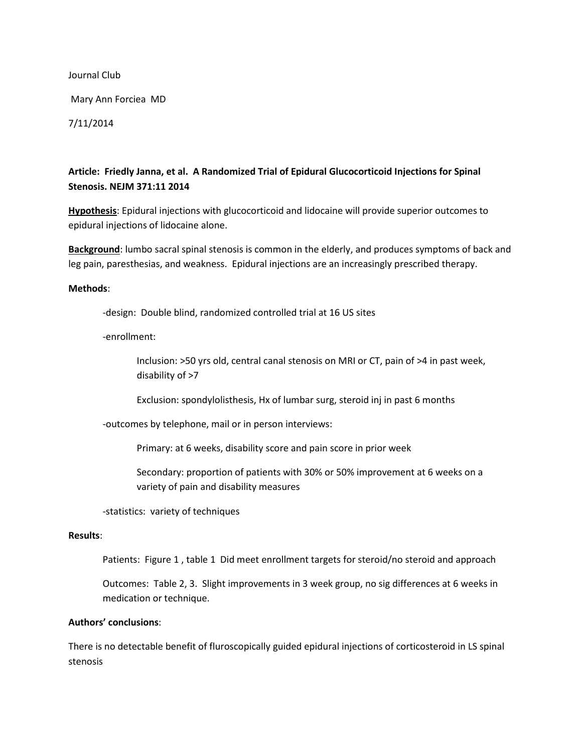Journal Club

Mary Ann Forciea MD

7/11/2014

# **Article: Friedly Janna, et al. A Randomized Trial of Epidural Glucocorticoid Injections for Spinal Stenosis. NEJM 371:11 2014**

**Hypothesis**: Epidural injections with glucocorticoid and lidocaine will provide superior outcomes to epidural injections of lidocaine alone.

**Background**: lumbo sacral spinal stenosis is common in the elderly, and produces symptoms of back and leg pain, paresthesias, and weakness. Epidural injections are an increasingly prescribed therapy.

#### **Methods**:

-design: Double blind, randomized controlled trial at 16 US sites

-enrollment:

Inclusion: >50 yrs old, central canal stenosis on MRI or CT, pain of >4 in past week, disability of >7

Exclusion: spondylolisthesis, Hx of lumbar surg, steroid inj in past 6 months

-outcomes by telephone, mail or in person interviews:

Primary: at 6 weeks, disability score and pain score in prior week

Secondary: proportion of patients with 30% or 50% improvement at 6 weeks on a variety of pain and disability measures

-statistics: variety of techniques

#### **Results**:

Patients: Figure 1 , table 1 Did meet enrollment targets for steroid/no steroid and approach

Outcomes: Table 2, 3. Slight improvements in 3 week group, no sig differences at 6 weeks in medication or technique.

### **Authors' conclusions**:

There is no detectable benefit of fluroscopically guided epidural injections of corticosteroid in LS spinal stenosis